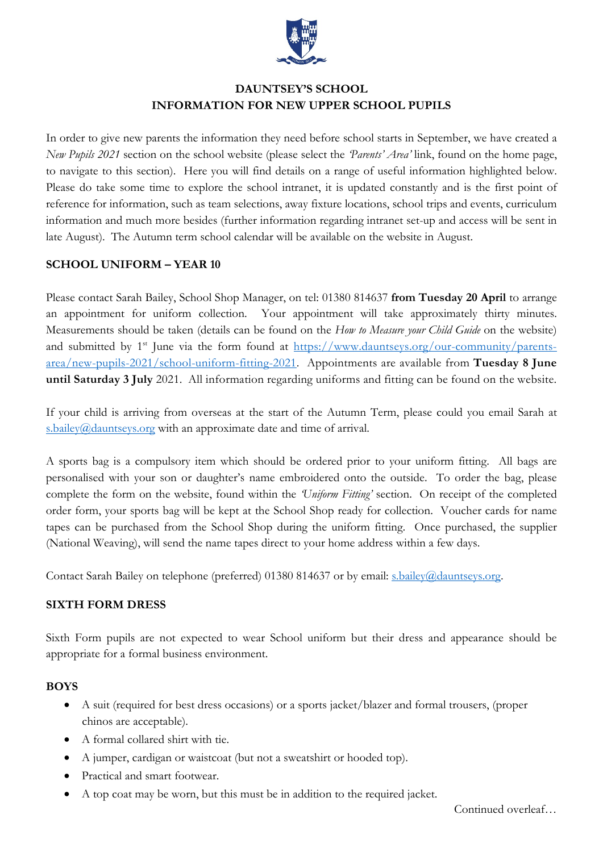

# **DAUNTSEY'S SCHOOL INFORMATION FOR NEW UPPER SCHOOL PUPILS**

In order to give new parents the information they need before school starts in September, we have created a *New Pupils 2021* section on the school website (please select the *'Parents' Area'* link, found on the home page, to navigate to this section). Here you will find details on a range of useful information highlighted below. Please do take some time to explore the school intranet, it is updated constantly and is the first point of reference for information, such as team selections, away fixture locations, school trips and events, curriculum information and much more besides (further information regarding intranet set-up and access will be sent in late August). The Autumn term school calendar will be available on the website in August.

#### **SCHOOL UNIFORM – YEAR 10**

Please contact Sarah Bailey, School Shop Manager, on tel: 01380 814637 **from Tuesday 20 April** to arrange an appointment for uniform collection. Your appointment will take approximately thirty minutes. Measurements should be taken (details can be found on the *How to Measure your Child Guide* on the website) and submitted by  $1<sup>st</sup>$  June via the form found at [https://www.dauntseys.org/our-community/parents](https://www.dauntseys.org/our-community/parents-area/new-pupils-2021/school-uniform-fitting-2021)[area/new-pupils-2021/school-uniform-fitting-2021.](https://www.dauntseys.org/our-community/parents-area/new-pupils-2021/school-uniform-fitting-2021) Appointments are available from **Tuesday 8 June until Saturday 3 July** 2021. All information regarding uniforms and fitting can be found on the website.

If your child is arriving from overseas at the start of the Autumn Term, please could you email Sarah at [s.bailey@dauntseys.org](mailto:s.bailey@dauntseys.org) with an approximate date and time of arrival.

A sports bag is a compulsory item which should be ordered prior to your uniform fitting. All bags are personalised with your son or daughter's name embroidered onto the outside. To order the bag, please complete the form on the website, found within the *'Uniform Fitting'* section. On receipt of the completed order form, your sports bag will be kept at the School Shop ready for collection. Voucher cards for name tapes can be purchased from the School Shop during the uniform fitting. Once purchased, the supplier (National Weaving), will send the name tapes direct to your home address within a few days.

Contact Sarah Bailey on telephone (preferred) 01380 814637 or by email: [s.bailey@dauntseys.org.](mailto:s.bailey@dauntseys.org)

#### **SIXTH FORM DRESS**

Sixth Form pupils are not expected to wear School uniform but their dress and appearance should be appropriate for a formal business environment.

#### **BOYS**

- A suit (required for best dress occasions) or a sports jacket/blazer and formal trousers, (proper chinos are acceptable).
- A formal collared shirt with tie.
- A jumper, cardigan or waistcoat (but not a sweatshirt or hooded top).
- Practical and smart footwear.
- A top coat may be worn, but this must be in addition to the required jacket.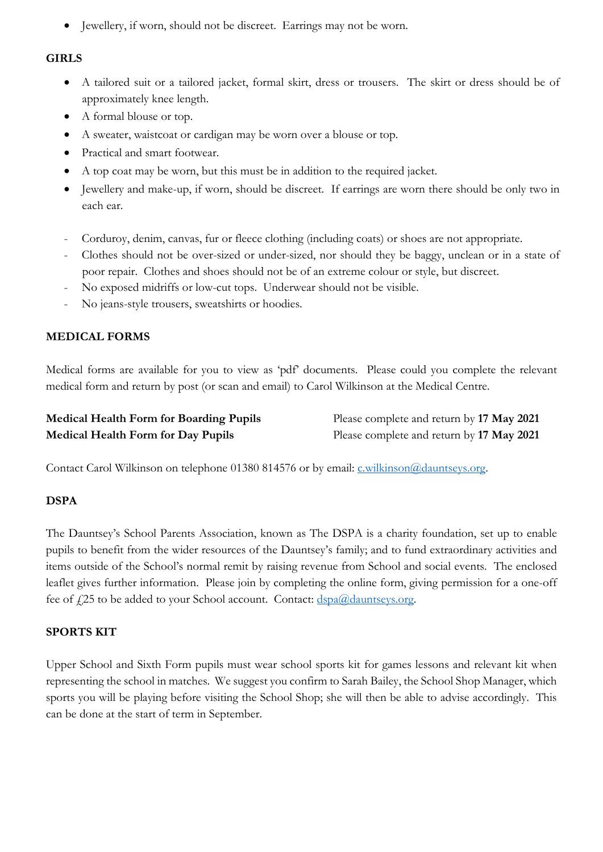• Jewellery, if worn, should not be discreet. Earrings may not be worn.

#### **GIRLS**

- A tailored suit or a tailored jacket, formal skirt, dress or trousers. The skirt or dress should be of approximately knee length.
- A formal blouse or top.
- A sweater, waistcoat or cardigan may be worn over a blouse or top.
- Practical and smart footwear.
- A top coat may be worn, but this must be in addition to the required jacket.
- Jewellery and make-up, if worn, should be discreet. If earrings are worn there should be only two in each ear.
- Corduroy, denim, canvas, fur or fleece clothing (including coats) or shoes are not appropriate.
- Clothes should not be over-sized or under-sized, nor should they be baggy, unclean or in a state of poor repair. Clothes and shoes should not be of an extreme colour or style, but discreet.
- No exposed midriffs or low-cut tops. Underwear should not be visible.
- No jeans-style trousers, sweatshirts or hoodies.

## **MEDICAL FORMS**

Medical forms are available for you to view as 'pdf' documents. Please could you complete the relevant medical form and return by post (or scan and email) to Carol Wilkinson at the Medical Centre.

| <b>Medical Health Form for Boarding Pupils</b> | Please complete and return by 17 May 2021 |
|------------------------------------------------|-------------------------------------------|
| <b>Medical Health Form for Day Pupils</b>      | Please complete and return by 17 May 2021 |

Contact Carol Wilkinson on telephone 01380 814576 or by email: [c.wilkinson@dauntseys.org.](mailto:c.wilkinson@dauntseys.org)

#### **DSPA**

The Dauntsey's School Parents Association, known as The DSPA is a charity foundation, set up to enable pupils to benefit from the wider resources of the Dauntsey's family; and to fund extraordinary activities and items outside of the School's normal remit by raising revenue from School and social events. The enclosed leaflet gives further information. Please join by completing the online form, giving permission for a one-off fee of £25 to be added to your School account. Contact: [dspa@dauntseys.org.](mailto:dspa@dauntseys.org)

#### **SPORTS KIT**

Upper School and Sixth Form pupils must wear school sports kit for games lessons and relevant kit when representing the school in matches. We suggest you confirm to Sarah Bailey, the School Shop Manager, which sports you will be playing before visiting the School Shop; she will then be able to advise accordingly. This can be done at the start of term in September.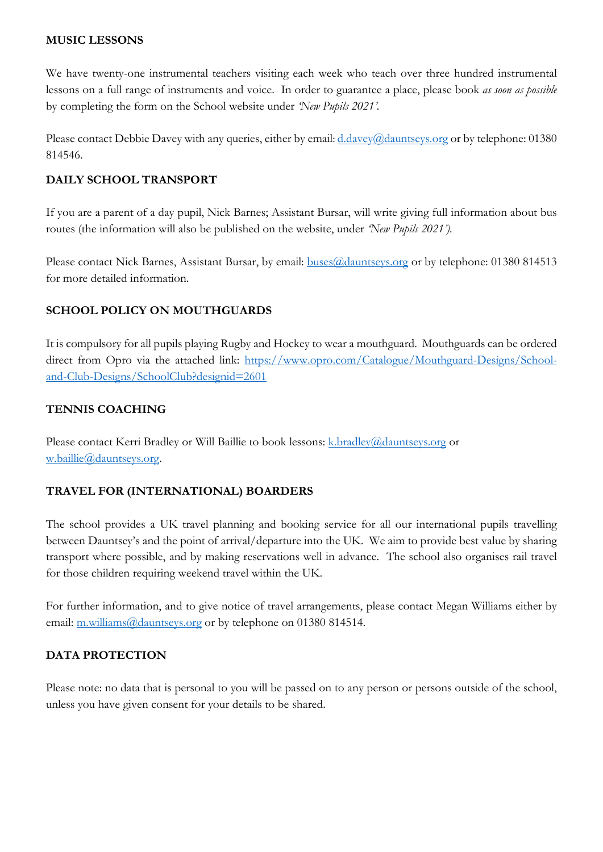#### **MUSIC LESSONS**

We have twenty-one instrumental teachers visiting each week who teach over three hundred instrumental lessons on a full range of instruments and voice. In order to guarantee a place, please book *as soon as possible*  by completing the form on the School website under *'New Pupils 2021'.* 

Please contact Debbie Davey with any queries, either by email: [d.davey@dauntseys.org](mailto:d.davey@dauntseys.org) or by telephone: 01380 814546.

### **DAILY SCHOOL TRANSPORT**

If you are a parent of a day pupil, Nick Barnes; Assistant Bursar, will write giving full information about bus routes (the information will also be published on the website, under *'New Pupils 2021').*

Please contact Nick Barnes, Assistant Bursar, by email: **buses@dauntseys.org** or by telephone: 01380 814513 for more detailed information.

## **SCHOOL POLICY ON MOUTHGUARDS**

It is compulsory for all pupils playing Rugby and Hockey to wear a mouthguard. Mouthguards can be ordered direct from Opro via the attached link: [https://www.opro.com/Catalogue/Mouthguard-Designs/School](https://www.opro.com/Catalogue/Mouthguard-Designs/School-and-Club-Designs/SchoolClub?designid=2601)[and-Club-Designs/SchoolClub?designid=2601](https://www.opro.com/Catalogue/Mouthguard-Designs/School-and-Club-Designs/SchoolClub?designid=2601)

#### **TENNIS COACHING**

Please contact Kerri Bradley or Will Baillie to book lessons:  $k$  bradley  $\omega_d$  dauntseys.org or [w.baillie@dauntseys.org.](mailto:w.baillie@dauntseys.org)

# **TRAVEL FOR (INTERNATIONAL) BOARDERS**

The school provides a UK travel planning and booking service for all our international pupils travelling between Dauntsey's and the point of arrival/departure into the UK. We aim to provide best value by sharing transport where possible, and by making reservations well in advance. The school also organises rail travel for those children requiring weekend travel within the UK.

For further information, and to give notice of travel arrangements, please contact Megan Williams either by email: [m.williams@dauntseys.org](mailto:m.williams@dauntseys.org) or by telephone on 01380 814514.

#### **DATA PROTECTION**

Please note: no data that is personal to you will be passed on to any person or persons outside of the school, unless you have given consent for your details to be shared.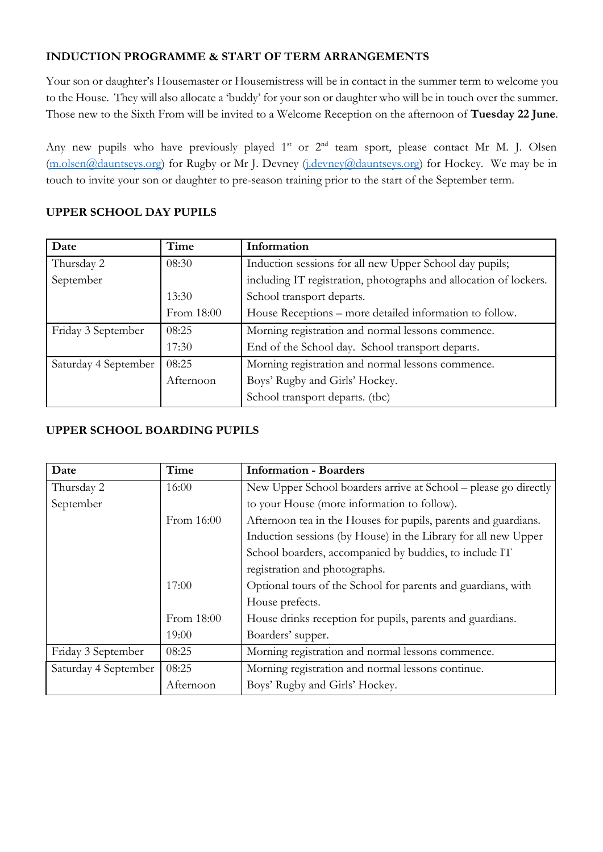## **INDUCTION PROGRAMME & START OF TERM ARRANGEMENTS**

Your son or daughter's Housemaster or Housemistress will be in contact in the summer term to welcome you to the House. They will also allocate a 'buddy' for your son or daughter who will be in touch over the summer. Those new to the Sixth From will be invited to a Welcome Reception on the afternoon of **Tuesday 22 June**.

Any new pupils who have previously played  $1<sup>st</sup>$  or  $2<sup>nd</sup>$  team sport, please contact Mr M. J. Olsen [\(m.olsen@dauntseys.org\)](mailto:m.olsen@dauntseys.org) for Rugby or Mr J. Devney [\(j.devney@dauntseys.org\)](mailto:j.devney@dauntseys.org) for Hockey. We may be in touch to invite your son or daughter to pre-season training prior to the start of the September term.

# **UPPER SCHOOL DAY PUPILS**

| Date                 | Time       | Information                                                       |
|----------------------|------------|-------------------------------------------------------------------|
| Thursday 2           | 08:30      | Induction sessions for all new Upper School day pupils;           |
| September            |            | including IT registration, photographs and allocation of lockers. |
|                      | 13:30      | School transport departs.                                         |
|                      | From 18:00 | House Receptions – more detailed information to follow.           |
| Friday 3 September   | 08:25      | Morning registration and normal lessons commence.                 |
|                      | 17:30      | End of the School day. School transport departs.                  |
| Saturday 4 September | 08:25      | Morning registration and normal lessons commence.                 |
|                      | Afternoon  | Boys' Rugby and Girls' Hockey.                                    |
|                      |            | School transport departs. (tbc)                                   |

### **UPPER SCHOOL BOARDING PUPILS**

| Date                 | Time       | <b>Information - Boarders</b>                                   |
|----------------------|------------|-----------------------------------------------------------------|
| Thursday 2           | 16:00      | New Upper School boarders arrive at School – please go directly |
| September            |            | to your House (more information to follow).                     |
|                      | From 16:00 | Afternoon tea in the Houses for pupils, parents and guardians.  |
|                      |            | Induction sessions (by House) in the Library for all new Upper  |
|                      |            | School boarders, accompanied by buddies, to include IT          |
|                      |            | registration and photographs.                                   |
|                      | 17:00      | Optional tours of the School for parents and guardians, with    |
|                      |            | House prefects.                                                 |
|                      | From 18:00 | House drinks reception for pupils, parents and guardians.       |
|                      | 19:00      | Boarders' supper.                                               |
| Friday 3 September   | 08:25      | Morning registration and normal lessons commence.               |
| Saturday 4 September | 08:25      | Morning registration and normal lessons continue.               |
|                      | Afternoon  | Boys' Rugby and Girls' Hockey.                                  |